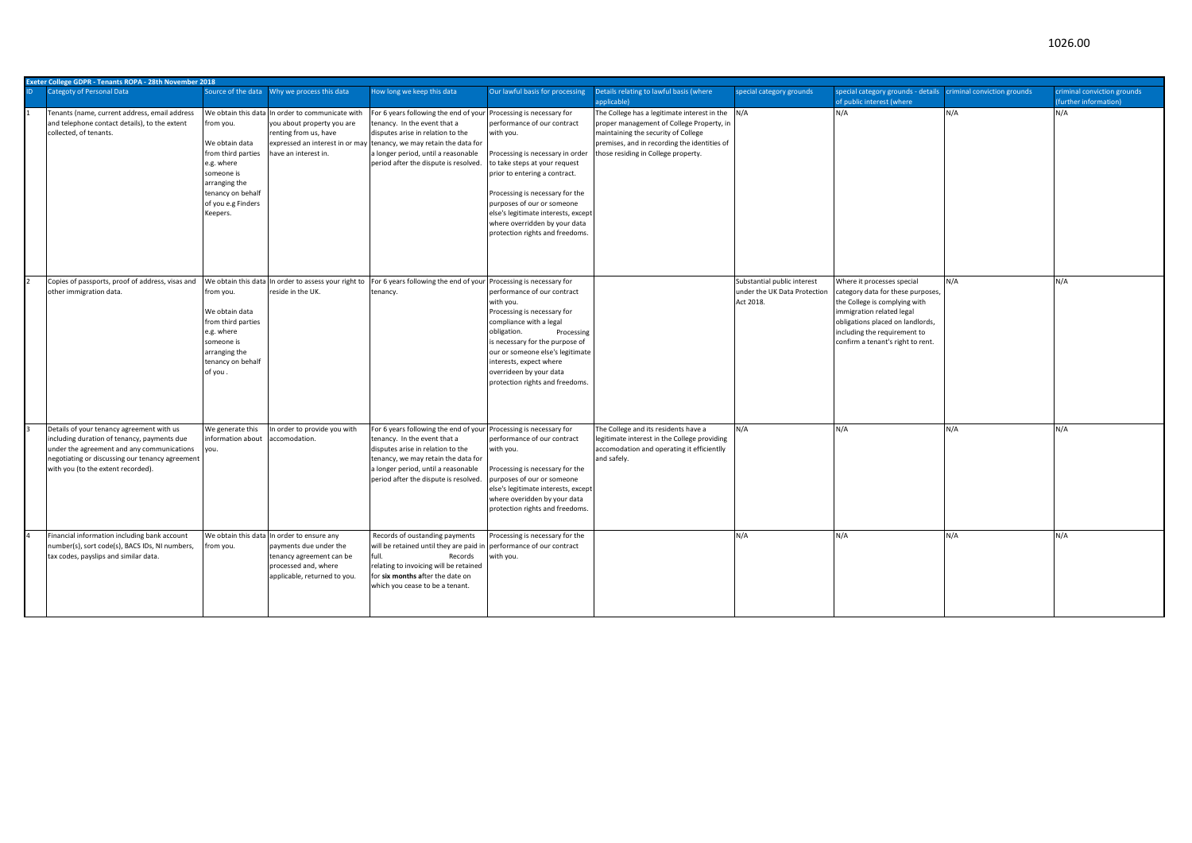|  |  | 1026.00 |
|--|--|---------|
|  |  |         |
|  |  |         |
|  |  |         |

|     | <b>Exeter College GDPR - Tenants ROPA - 28th November 2018</b>                                                                                                                                                                  |                                                                                                                                                       |                                                                                                                                                          |                                                                                                                                                                                                                                                                   |                                                                                                                                                                                                                                                                                                                                                           |                                                                                                                                                                                                                             |                                                                          |                                                                                                                                                                                                                                        |                             |                                                     |
|-----|---------------------------------------------------------------------------------------------------------------------------------------------------------------------------------------------------------------------------------|-------------------------------------------------------------------------------------------------------------------------------------------------------|----------------------------------------------------------------------------------------------------------------------------------------------------------|-------------------------------------------------------------------------------------------------------------------------------------------------------------------------------------------------------------------------------------------------------------------|-----------------------------------------------------------------------------------------------------------------------------------------------------------------------------------------------------------------------------------------------------------------------------------------------------------------------------------------------------------|-----------------------------------------------------------------------------------------------------------------------------------------------------------------------------------------------------------------------------|--------------------------------------------------------------------------|----------------------------------------------------------------------------------------------------------------------------------------------------------------------------------------------------------------------------------------|-----------------------------|-----------------------------------------------------|
| ID. | <b>Categoty of Personal Data</b>                                                                                                                                                                                                |                                                                                                                                                       | Source of the data Why we process this data                                                                                                              | How long we keep this data                                                                                                                                                                                                                                        | Our lawful basis for processing                                                                                                                                                                                                                                                                                                                           | Details relating to lawful basis (where<br>applicable)                                                                                                                                                                      | special category grounds                                                 | special category grounds - details<br>of public interest (where                                                                                                                                                                        | criminal conviction grounds | criminal conviction grounds<br>further information) |
|     | Tenants (name, current address, email address<br>and telephone contact details), to the extent<br>collected, of tenants.                                                                                                        | from you.<br>We obtain data<br>from third parties<br>e.g. where<br>someone is<br>arranging the<br>tenancy on behalf<br>of you e.g Finders<br>Keepers. | We obtain this data In order to communicate with<br>you about property you are<br>renting from us, have<br>have an interest in.                          | For 6 years following the end of your<br>tenancy. In the event that a<br>disputes arise in relation to the<br>expressed an interest in or may tenancy, we may retain the data for<br>a longer period, until a reasonable<br>period after the dispute is resolved. | Processing is necessary for<br>performance of our contract<br>with you.<br>Processing is necessary in order<br>to take steps at your request<br>prior to entering a contract.<br>Processing is necessary for the<br>purposes of our or someone<br>else's legitimate interests, except<br>where overridden by your data<br>protection rights and freedoms. | The College has a legitimate interest in the N/A<br>proper management of College Property, in<br>maintaining the security of College<br>premises, and in recording the identities of<br>those residing in College property. |                                                                          | N/A                                                                                                                                                                                                                                    | N/A                         | N/A                                                 |
|     | Copies of passports, proof of address, visas and<br>other immigration data.                                                                                                                                                     | We obtain this data<br>from you.<br>We obtain data<br>from third parties<br>e.g. where<br>someone is<br>arranging the<br>tenancy on behalf<br>of you. | In order to assess your right to<br>reside in the UK.                                                                                                    | For 6 years following the end of your<br>tenancy.                                                                                                                                                                                                                 | Processing is necessary for<br>performance of our contract<br>with you.<br>Processing is necessary for<br>compliance with a legal<br>obligation.<br>Processing<br>is necessary for the purpose of<br>our or someone else's legitimate<br>interests, expect where<br>overrideen by your data<br>protection rights and freedoms.                            |                                                                                                                                                                                                                             | Substantial public interest<br>under the UK Data Protection<br>Act 2018. | Where it processes special<br>category data for these purposes,<br>the College is complying with<br>immigration related legal<br>obligations placed on landlords,<br>including the requirement to<br>confirm a tenant's right to rent. | N/A                         | N/A                                                 |
|     | Details of your tenancy agreement with us<br>including duration of tenancy, payments due<br>under the agreement and any communications<br>negotiating or discussing our tenancy agreement<br>with you (to the extent recorded). | We generate this<br>information about<br>you.                                                                                                         | In order to provide you with<br>accomodation.                                                                                                            | For 6 years following the end of your<br>tenancy. In the event that a<br>disputes arise in relation to the<br>tenancy, we may retain the data for<br>a longer period, until a reasonable<br>period after the dispute is resolved.                                 | Processing is necessary for<br>performance of our contract<br>with you.<br>Processing is necessary for the<br>purposes of our or someone<br>else's legitimate interests, except<br>where overidden by your data<br>protection rights and freedoms.                                                                                                        | The College and its residents have a<br>legitimate interest in the College providing<br>accomodation and operating it efficientlly<br>and safely.                                                                           | N/A                                                                      | N/A                                                                                                                                                                                                                                    | N/A                         | N/A                                                 |
|     | Financial information including bank account<br>number(s), sort code(s), BACS IDs, NI numbers<br>tax codes, payslips and similar data.                                                                                          | from you.                                                                                                                                             | We obtain this data In order to ensure any<br>payments due under the<br>tenancy agreement can be<br>processed and, where<br>applicable, returned to you. | Records of oustanding payments<br>will be retained until they are paid i<br>full.<br>Records<br>relating to invoicing will be retained<br>for six months after the date on<br>which you cease to be a tenant.                                                     | Processing is necessary for the<br>performance of our contract<br>with you.                                                                                                                                                                                                                                                                               |                                                                                                                                                                                                                             | N/A                                                                      | N/A                                                                                                                                                                                                                                    | N/A                         | N/A                                                 |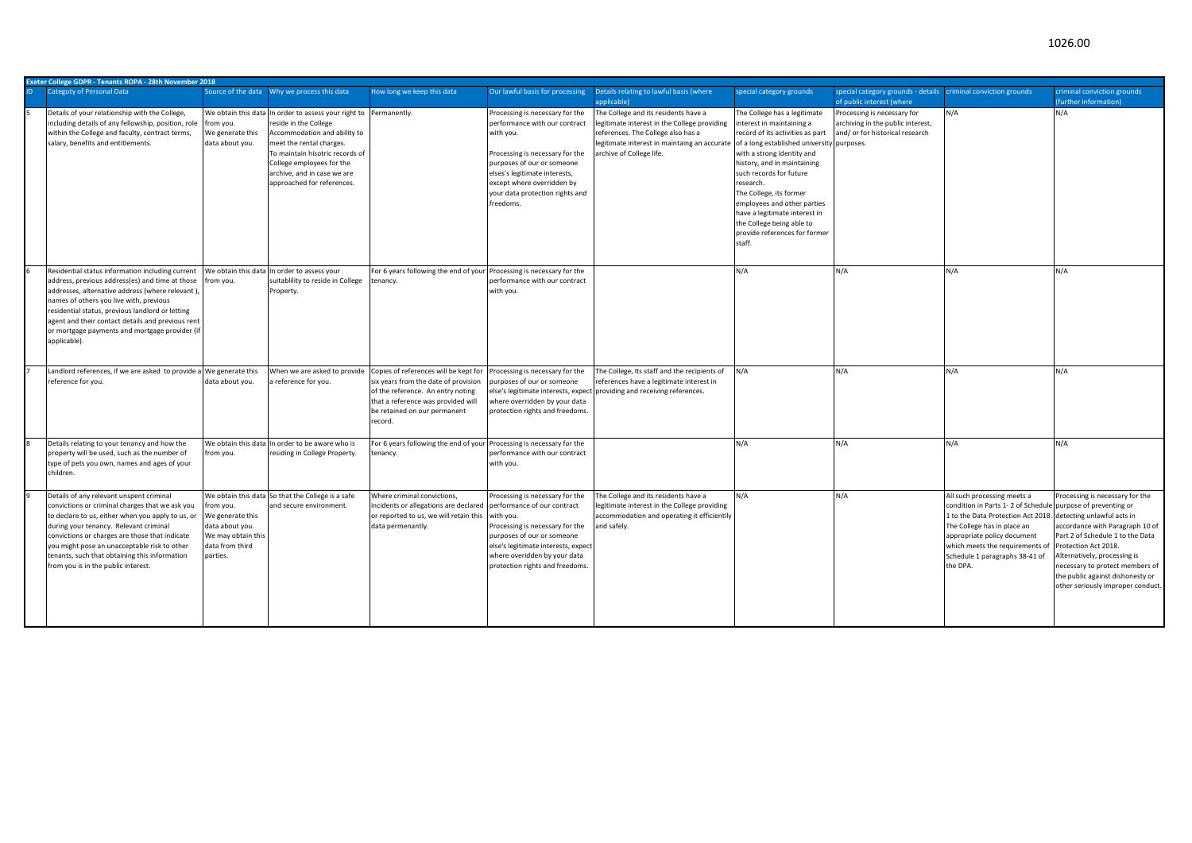| Exeter College GDPR - Tenants ROPA - 28th November 2018                                                                                                                                                                                                                                                                                                                              |                                                                                                       |                                                                                                                                                                                                                                                                                     |                                                                                                                                                                                                     |                                                                                                                                                                                                                                                               |                                                                                                                                                                                                        |                                                                                                                                                                                                                                                                                                                                                                                                           |                                                                                                                  |                                                                                                                                                                                                                                                                                                            |                                                                                                                                                                                                                                                                            |
|--------------------------------------------------------------------------------------------------------------------------------------------------------------------------------------------------------------------------------------------------------------------------------------------------------------------------------------------------------------------------------------|-------------------------------------------------------------------------------------------------------|-------------------------------------------------------------------------------------------------------------------------------------------------------------------------------------------------------------------------------------------------------------------------------------|-----------------------------------------------------------------------------------------------------------------------------------------------------------------------------------------------------|---------------------------------------------------------------------------------------------------------------------------------------------------------------------------------------------------------------------------------------------------------------|--------------------------------------------------------------------------------------------------------------------------------------------------------------------------------------------------------|-----------------------------------------------------------------------------------------------------------------------------------------------------------------------------------------------------------------------------------------------------------------------------------------------------------------------------------------------------------------------------------------------------------|------------------------------------------------------------------------------------------------------------------|------------------------------------------------------------------------------------------------------------------------------------------------------------------------------------------------------------------------------------------------------------------------------------------------------------|----------------------------------------------------------------------------------------------------------------------------------------------------------------------------------------------------------------------------------------------------------------------------|
| <b>Categoty of Personal Data</b>                                                                                                                                                                                                                                                                                                                                                     |                                                                                                       | Source of the data Why we process this data                                                                                                                                                                                                                                         | How long we keep this data                                                                                                                                                                          | Our lawful basis for processing                                                                                                                                                                                                                               | Details relating to lawful basis (where<br>applicable)                                                                                                                                                 | special category grounds                                                                                                                                                                                                                                                                                                                                                                                  | special category grounds - details criminal conviction grounds<br>of public interest (where                      |                                                                                                                                                                                                                                                                                                            | criminal conviction grounds<br>(further information)                                                                                                                                                                                                                       |
| Details of your relationship with the College,<br>including details of any fellowship, position, role<br>within the College and faculty, contract terms,<br>salary, benefits and entitlements.                                                                                                                                                                                       | from you.<br>We generate this<br>data about you.                                                      | We obtain this data In order to assess your right to Permanently.<br>reside in the College<br>Accommodation and ability to<br>meet the rental charges.<br>To maintain hisotric records of<br>College employees for the<br>archive, and in case we are<br>approached for references. |                                                                                                                                                                                                     | Processing is necessary for the<br>performance with our contract<br>with you.<br>Processing is necessary for the<br>purposes of our or someone<br>elses's legitimate interests,<br>except where overridden by<br>your data protection rights and<br>freedoms. | The College and its residents have a<br>legitimate interest in the College providing<br>references. The College also has a<br>legitimate interest in maintaing an accurate<br>archive of College life. | The College has a legitimate<br>interest in maintaining a<br>record of its activities as part<br>of a long established university<br>with a strong identity and<br>history, and in maintaining<br>such records for future<br>research.<br>The College, its former<br>employees and other parties<br>have a legitimate interest in<br>the College being able to<br>provide references for former<br>staff. | Processing is necessary for<br>archiving in the public interest,<br>and/ or for historical research<br>purposes. | N/A                                                                                                                                                                                                                                                                                                        | N/A                                                                                                                                                                                                                                                                        |
| Residential status information including current<br>address, previous address(es) and time at those<br>addresses, alternative address (where relevant),<br>names of others you live with, previous<br>residential status, previous landlord or letting<br>agent and their contact details and previous rent<br>or mortgage payments and mortgage provider (if<br>applicable).        | We obtain this data<br>rom you.                                                                       | In order to assess your<br>suitablility to reside in College<br>Property.                                                                                                                                                                                                           | For 6 years following the end of your<br>tenancy.                                                                                                                                                   | Processing is necessary for the<br>performance with our contract<br>with you.                                                                                                                                                                                 |                                                                                                                                                                                                        | N/A                                                                                                                                                                                                                                                                                                                                                                                                       | N/A                                                                                                              | N/A                                                                                                                                                                                                                                                                                                        | N/A                                                                                                                                                                                                                                                                        |
| Landlord references, if we are asked to provide a We generate this<br>reference for you.                                                                                                                                                                                                                                                                                             | data about you.                                                                                       | When we are asked to provide<br>a reference for you.                                                                                                                                                                                                                                | Copies of references will be kept for<br>six years from the date of provision<br>of the reference. An entry noting<br>that a reference was provided will<br>be retained on our permanent<br>record. | Processing is necessary for the<br>purposes of our or someone<br>where overridden by your data<br>protection rights and freedoms.                                                                                                                             | The College, Its staff and the recipients of<br>references have a legitimate interest in<br>else's legitimate interests, expect providing and receiving references.                                    | N/A                                                                                                                                                                                                                                                                                                                                                                                                       | N/A                                                                                                              | N/A                                                                                                                                                                                                                                                                                                        | N/A                                                                                                                                                                                                                                                                        |
| Details relating to your tenancy and how the<br>property will be used, such as the number of<br>type of pets you own, names and ages of your<br>children.                                                                                                                                                                                                                            | from you.                                                                                             | We obtain this data In order to be aware who is<br>residing in College Property.                                                                                                                                                                                                    | For 6 years following the end of your<br>tenancy.                                                                                                                                                   | Processing is necessary for the<br>performance with our contract<br>with you.                                                                                                                                                                                 |                                                                                                                                                                                                        | N/A                                                                                                                                                                                                                                                                                                                                                                                                       | N/A                                                                                                              | N/A                                                                                                                                                                                                                                                                                                        | N/A                                                                                                                                                                                                                                                                        |
| Details of any relevant unspent criminal<br>convictions or criminal charges that we ask you<br>to declare to us, either when you apply to us, or<br>during your tenancy. Relevant criminal<br>convictions or charges are those that indicate<br>you might pose an unacceptable risk to other<br>tenants, such that obtaining this information<br>from you is in the public interest. | from you.<br>We generate this<br>data about you.<br>We may obtain this<br>data from third<br>parties. | We obtain this data So that the College is a safe<br>and secure environment.                                                                                                                                                                                                        | Where criminal convictions,<br>incidents or allegations are declared<br>or reported to us, we will retain this<br>data permenantly.                                                                 | Processing is necessary for the<br>performance of our contract<br>with you.<br>Processing is necessary for the<br>purposes of our or someone<br>else's legitimate interests, expect<br>where overidden by your data<br>protection rights and freedoms         | The College and its residents have a<br>legitimate interest in the College providing<br>accommodation and operating it efficientlly<br>and safely.                                                     | N/A                                                                                                                                                                                                                                                                                                                                                                                                       | N/A                                                                                                              | All such processing meets a<br>condition in Parts 1-2 of Schedule purpose of preventing or<br>1 to the Data Protection Act 2018. detecting unlawful acts in<br>The College has in place an<br>appropriate policy document<br>which meets the requirements of<br>Schedule 1 paragraphs 38-41 of<br>the DPA. | Processing is necessary for the<br>accordance with Paragraph 10 of<br>Part 2 of Schedule 1 to the Data<br>Protection Act 2018.<br>Alternatively, processing is<br>necessary to protect members of<br>the public against dishonesty or<br>other seriously improper conduct. |